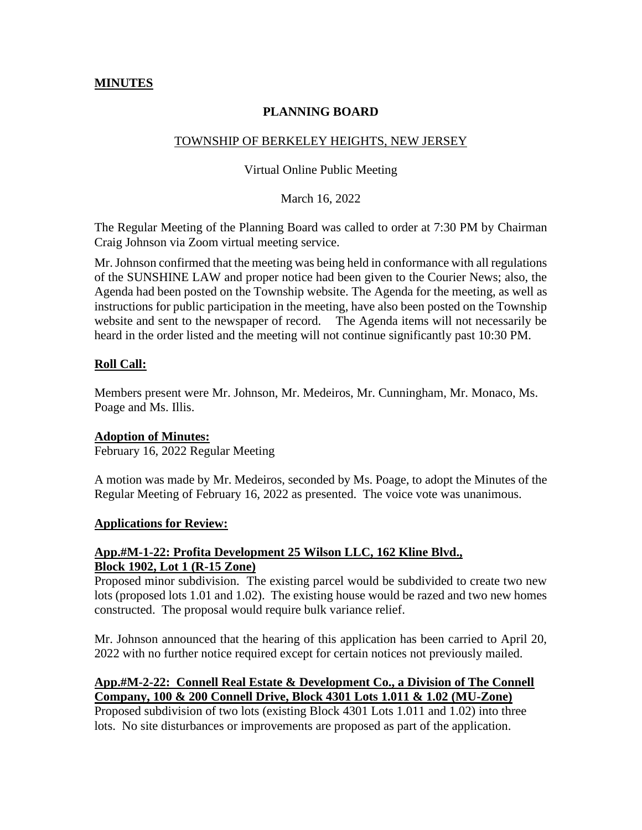## **MINUTES**

## **PLANNING BOARD**

### TOWNSHIP OF BERKELEY HEIGHTS, NEW JERSEY

#### Virtual Online Public Meeting

March 16, 2022

The Regular Meeting of the Planning Board was called to order at 7:30 PM by Chairman Craig Johnson via Zoom virtual meeting service.

Mr. Johnson confirmed that the meeting was being held in conformance with all regulations of the SUNSHINE LAW and proper notice had been given to the Courier News; also, the Agenda had been posted on the Township website. The Agenda for the meeting, as well as instructions for public participation in the meeting, have also been posted on the Township website and sent to the newspaper of record. The Agenda items will not necessarily be heard in the order listed and the meeting will not continue significantly past 10:30 PM.

#### **Roll Call:**

Members present were Mr. Johnson, Mr. Medeiros, Mr. Cunningham, Mr. Monaco, Ms. Poage and Ms. Illis.

#### **Adoption of Minutes:**

February 16, 2022 Regular Meeting

A motion was made by Mr. Medeiros, seconded by Ms. Poage, to adopt the Minutes of the Regular Meeting of February 16, 2022 as presented. The voice vote was unanimous.

#### **Applications for Review:**

# **App.#M-1-22: Profita Development 25 Wilson LLC, 162 Kline Blvd., Block 1902, Lot 1 (R-15 Zone)**

Proposed minor subdivision. The existing parcel would be subdivided to create two new lots (proposed lots 1.01 and 1.02). The existing house would be razed and two new homes constructed. The proposal would require bulk variance relief.

Mr. Johnson announced that the hearing of this application has been carried to April 20, 2022 with no further notice required except for certain notices not previously mailed.

## **App.#M-2-22: Connell Real Estate & Development Co., a Division of The Connell Company, 100 & 200 Connell Drive, Block 4301 Lots 1.011 & 1.02 (MU-Zone)**

Proposed subdivision of two lots (existing Block 4301 Lots 1.011 and 1.02) into three lots. No site disturbances or improvements are proposed as part of the application.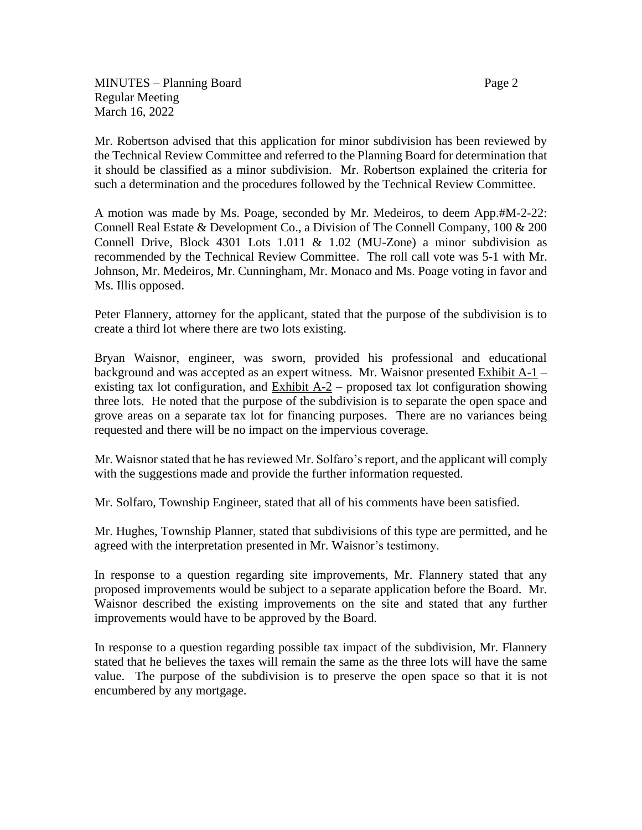MINUTES – Planning Board Page 2 Regular Meeting March 16, 2022

Mr. Robertson advised that this application for minor subdivision has been reviewed by the Technical Review Committee and referred to the Planning Board for determination that it should be classified as a minor subdivision. Mr. Robertson explained the criteria for such a determination and the procedures followed by the Technical Review Committee.

A motion was made by Ms. Poage, seconded by Mr. Medeiros, to deem App.#M-2-22: Connell Real Estate & Development Co., a Division of The Connell Company, 100 & 200 Connell Drive, Block 4301 Lots 1.011 & 1.02 (MU-Zone) a minor subdivision as recommended by the Technical Review Committee. The roll call vote was 5-1 with Mr. Johnson, Mr. Medeiros, Mr. Cunningham, Mr. Monaco and Ms. Poage voting in favor and Ms. Illis opposed.

Peter Flannery, attorney for the applicant, stated that the purpose of the subdivision is to create a third lot where there are two lots existing.

Bryan Waisnor, engineer, was sworn, provided his professional and educational background and was accepted as an expert witness. Mr. Waisnor presented Exhibit A-1 – existing tax lot configuration, and Exhibit  $A-2$  – proposed tax lot configuration showing three lots. He noted that the purpose of the subdivision is to separate the open space and grove areas on a separate tax lot for financing purposes. There are no variances being requested and there will be no impact on the impervious coverage.

Mr. Waisnor stated that he has reviewed Mr. Solfaro's report, and the applicant will comply with the suggestions made and provide the further information requested.

Mr. Solfaro, Township Engineer, stated that all of his comments have been satisfied.

Mr. Hughes, Township Planner, stated that subdivisions of this type are permitted, and he agreed with the interpretation presented in Mr. Waisnor's testimony.

In response to a question regarding site improvements, Mr. Flannery stated that any proposed improvements would be subject to a separate application before the Board. Mr. Waisnor described the existing improvements on the site and stated that any further improvements would have to be approved by the Board.

In response to a question regarding possible tax impact of the subdivision, Mr. Flannery stated that he believes the taxes will remain the same as the three lots will have the same value. The purpose of the subdivision is to preserve the open space so that it is not encumbered by any mortgage.